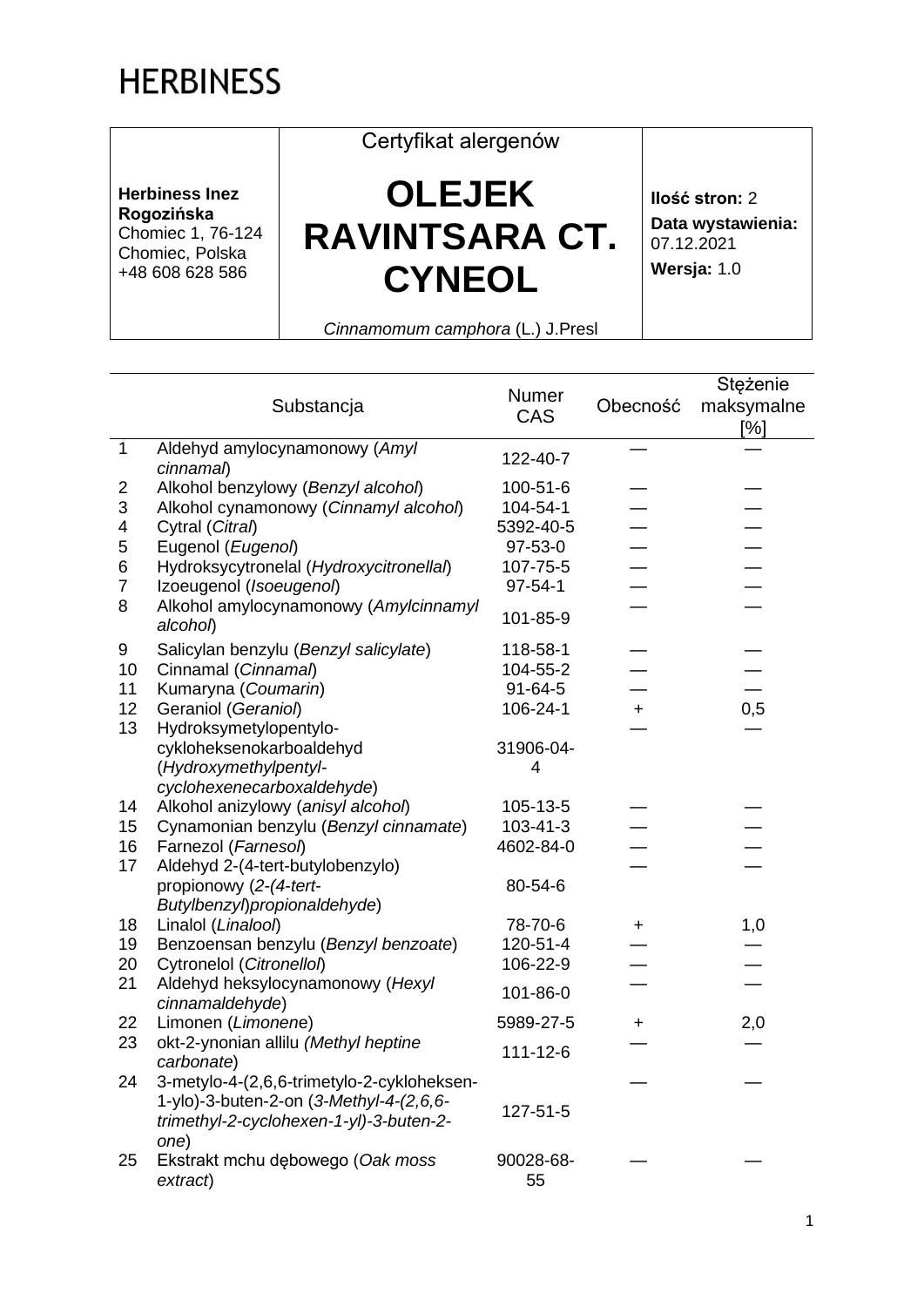## **HERBINESS**

**Herbiness Inez Rogozińska** Chomiec 1, 76-124 Chomiec, Polska +48 608 628 586

## **OLEJEK RAVINTSARA CT. CYNEOL**

Certyfikat alergenów

**Ilość stron:** 2 **Data wystawienia:** 07.12.2021 **Wersja:** 1.0

*Cinnamomum camphora* (L.) J.Presl

|                         | Substancja                                         | Numer<br>CAS  | Obecność  | Stężenie<br>maksymalne<br>[%] |
|-------------------------|----------------------------------------------------|---------------|-----------|-------------------------------|
| $\mathbf{1}$            | Aldehyd amylocynamonowy (Amyl<br>cinnamal)         | 122-40-7      |           |                               |
| $\overline{2}$          | Alkohol benzylowy (Benzyl alcohol)                 | 100-51-6      |           |                               |
| 3                       | Alkohol cynamonowy (Cinnamyl alcohol)              | 104-54-1      |           |                               |
| $\overline{\mathbf{4}}$ | Cytral (Citral)                                    | 5392-40-5     |           |                               |
| 5                       | Eugenol (Eugenol)                                  | 97-53-0       |           |                               |
| 6                       | Hydroksycytronelal (Hydroxycitronellal)            | 107-75-5      |           |                               |
| $\overline{7}$          | Izoeugenol (Isoeugenol)                            | $97 - 54 - 1$ |           |                               |
| 8                       | Alkohol amylocynamonowy (Amylcinnamyl<br>alcohol)  | 101-85-9      |           |                               |
| 9                       | Salicylan benzylu (Benzyl salicylate)              | 118-58-1      |           |                               |
| 10                      | Cinnamal (Cinnamal)                                | 104-55-2      |           |                               |
| 11                      | Kumaryna (Coumarin)                                | $91 - 64 - 5$ |           |                               |
| 12                      | Geraniol (Geraniol)                                | 106-24-1      | $\ddot{}$ | 0,5                           |
| 13                      | Hydroksymetylopentylo-                             |               |           |                               |
|                         | cykloheksenokarboaldehyd                           | 31906-04-     |           |                               |
|                         | (Hydroxymethylpentyl-                              | 4             |           |                               |
|                         | cyclohexenecarboxaldehyde)                         |               |           |                               |
| 14                      | Alkohol anizylowy (anisyl alcohol)                 | 105-13-5      |           |                               |
| 15                      | Cynamonian benzylu (Benzyl cinnamate)              | 103-41-3      |           |                               |
| 16                      | Farnezol (Farnesol)                                | 4602-84-0     |           |                               |
| 17                      | Aldehyd 2-(4-tert-butylobenzylo)                   |               |           |                               |
|                         | propionowy (2-(4-tert-                             | 80-54-6       |           |                               |
|                         | Butylbenzyl) propionaldehyde)                      |               |           |                               |
| 18                      | Linalol (Linalool)                                 | 78-70-6       | ÷.        | 1,0                           |
| 19                      | Benzoensan benzylu (Benzyl benzoate)               | 120-51-4      |           |                               |
| 20                      | Cytronelol (Citronellol)                           | 106-22-9      |           |                               |
| 21                      | Aldehyd heksylocynamonowy (Hexyl                   | 101-86-0      |           |                               |
|                         | cinnamaldehyde)                                    |               |           |                               |
| 22                      | Limonen (Limonene)                                 | 5989-27-5     | $\ddot{}$ | 2,0                           |
| 23                      | okt-2-ynonian allilu (Methyl heptine<br>carbonate) | 111-12-6      |           |                               |
| 24                      | 3-metylo-4-(2,6,6-trimetylo-2-cykloheksen-         |               |           |                               |
|                         | 1-ylo)-3-buten-2-on (3-Methyl-4-(2,6,6-            | 127-51-5      |           |                               |
|                         | trimethyl-2-cyclohexen-1-yl)-3-buten-2-            |               |           |                               |
|                         | one)                                               |               |           |                               |
| 25                      | Ekstrakt mchu dębowego (Oak moss                   | 90028-68-     |           |                               |
|                         | extract)                                           | 55            |           |                               |